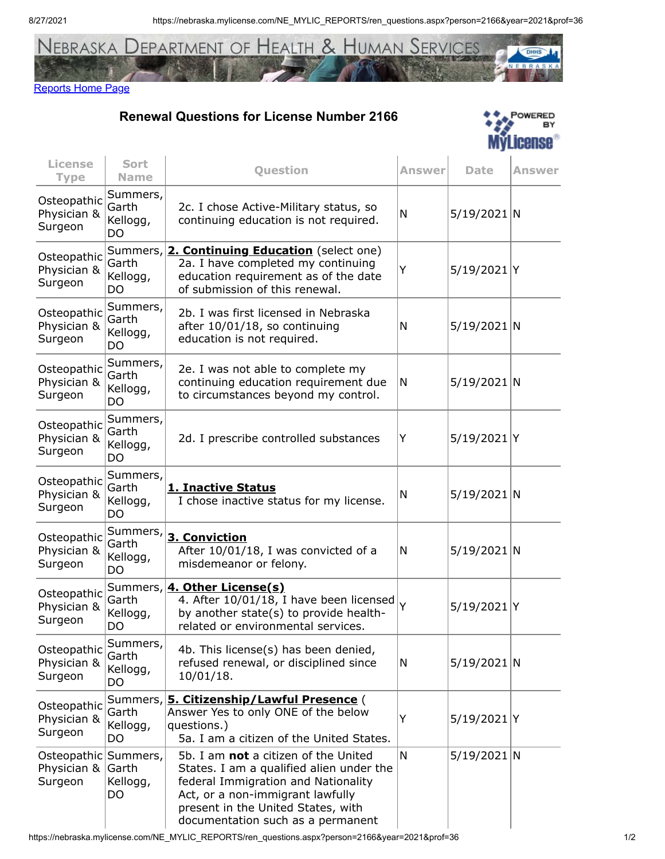8/27/2021 https://nebraska.mylicense.com/NE\_MYLIC\_REPORTS/ren\_questions.aspx?person=2166&year=2021&prof=36



## [Reports Home Page](https://nebraska.mylicense.com/NE_MYLIC_REPORTS/Secure2.asp)

**Renewal Questions for License Number 2166**



| <b>License</b><br><b>Type</b>         | <b>Sort</b><br><b>Name</b>          | <b>Question</b>                                                                                                                                                                                                                        | Answer | <b>Date</b>    | Answer |
|---------------------------------------|-------------------------------------|----------------------------------------------------------------------------------------------------------------------------------------------------------------------------------------------------------------------------------------|--------|----------------|--------|
| Osteopathic<br>Physician &<br>Surgeon | Summers,<br>Garth<br>Kellogg,<br>DO | 2c. I chose Active-Military status, so<br>continuing education is not required.                                                                                                                                                        | N      | $5/19/2021$ N  |        |
| Osteopathic<br>Physician &<br>Surgeon | Summers,<br>Garth<br>Kellogg,<br>DO | 2. Continuing Education (select one)<br>2a. I have completed my continuing<br>education requirement as of the date<br>of submission of this renewal.                                                                                   | Y      | $5/19/2021$  Y |        |
| Osteopathic<br>Physician &<br>Surgeon | Summers,<br>Garth<br>Kellogg,<br>DO | 2b. I was first licensed in Nebraska<br>after 10/01/18, so continuing<br>education is not required.                                                                                                                                    | N      | $5/19/2021$ N  |        |
| Osteopathic<br>Physician &<br>Surgeon | Summers,<br>Garth<br>Kellogg,<br>DO | 2e. I was not able to complete my<br>continuing education requirement due<br>to circumstances beyond my control.                                                                                                                       | N      | $5/19/2021$ N  |        |
| Osteopathic<br>Physician &<br>Surgeon | Summers,<br>Garth<br>Kellogg,<br>DO | 2d. I prescribe controlled substances                                                                                                                                                                                                  | Υ      | 5/19/2021 Y    |        |
| Osteopathic<br>Physician &<br>Surgeon | Summers,<br>Garth<br>Kellogg,<br>DO | 1. Inactive Status<br>I chose inactive status for my license.                                                                                                                                                                          | N      | $5/19/2021$ N  |        |
| Osteopathic<br>Physician &<br>Surgeon | Summers,<br>Garth<br>Kellogg,<br>DO | 3. Conviction<br>After 10/01/18, I was convicted of a<br>misdemeanor or felony.                                                                                                                                                        | N      | $5/19/2021$ N  |        |
| Osteopathic<br>Physician &<br>Surgeon | Garth<br>Kellogg,<br>DO             | Summers, 4. Other License(s)<br>4. After 10/01/18, I have been licensed<br>by another state(s) to provide health-<br>related or environmental services.                                                                                | Y      | 5/19/2021 Y    |        |
| Osteopathic<br>Physician &<br>Surgeon | Summers,<br>Garth<br>Kellogg,<br>DO | 4b. This license(s) has been denied,<br>refused renewal, or disciplined since<br>10/01/18.                                                                                                                                             | N      | $5/19/2021$ N  |        |
| Osteopathic<br>Physician &<br>Surgeon | Summers,<br>Garth<br>Kellogg,<br>DO | 5. Citizenship/Lawful Presence (<br>Answer Yes to only ONE of the below<br>questions.)<br>5a. I am a citizen of the United States.                                                                                                     | Υ      | 5/19/2021 Y    |        |
| Osteopathic<br>Physician &<br>Surgeon | Summers,<br>Garth<br>Kellogg,<br>DO | 5b. I am not a citizen of the United<br>States. I am a qualified alien under the<br>federal Immigration and Nationality<br>Act, or a non-immigrant lawfully<br>present in the United States, with<br>documentation such as a permanent | N      | $5/19/2021$ N  |        |